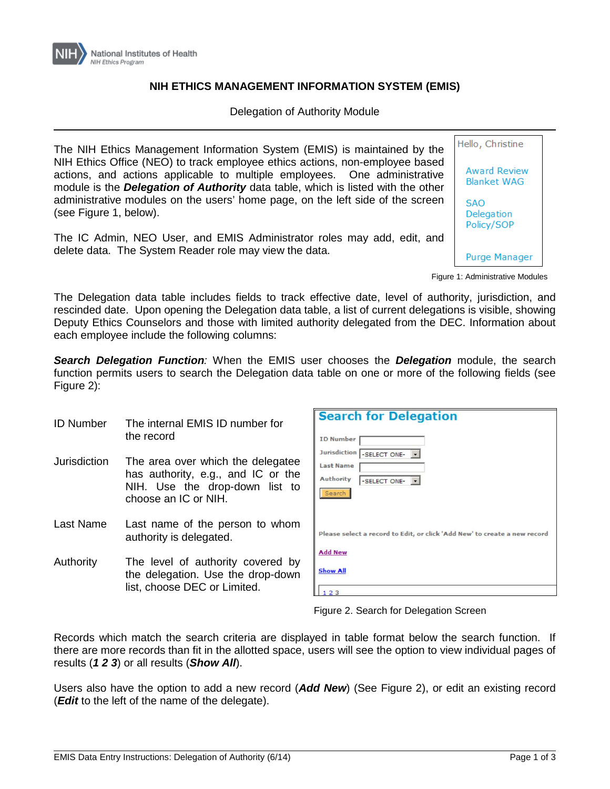

## **NIH ETHICS MANAGEMENT INFORMATION SYSTEM (EMIS)**

Delegation of Authority Module

The NIH Ethics Management Information System (EMIS) is maintained by the NIH Ethics Office (NEO) to track employee ethics actions, non-employee based actions, and actions applicable to multiple employees. One administrative module is the *Delegation of Authority* data table, which is listed with the other administrative modules on the users' home page, on the left side of the screen (see Figure 1, below).

The IC Admin, NEO User, and EMIS Administrator roles may add, edit, and delete data. The System Reader role may view the data.



Figure 1: Administrative Modules

The Delegation data table includes fields to track effective date, level of authority, jurisdiction, and rescinded date. Upon opening the Delegation data table, a list of current delegations is visible, showing Deputy Ethics Counselors and those with limited authority delegated from the DEC. Information about each employee include the following columns:

*Search Delegation Function:* When the EMIS user chooses the *Delegation* module, the search function permits users to search the Delegation data table on one or more of the following fields (see Figure 2):

- ID Number The internal EMIS ID number for the record
- Jurisdiction The area over which the delegatee has authority, e.g., and IC or the NIH. Use the drop-down list to choose an IC or NIH.
- Last Name Last name of the person to whom authority is delegated.
- Authority The level of authority covered by the delegation. Use the drop-down list, choose DEC or Limited.

| <b>Search for Delegation</b>                                              |
|---------------------------------------------------------------------------|
| <b>ID Number</b>                                                          |
| Jurisdiction -SELECT ONE-                                                 |
| <b>Last Name</b>                                                          |
| <b>Authority</b><br>-SELECT ONE-                                          |
| Search                                                                    |
|                                                                           |
|                                                                           |
| Please select a record to Edit, or click 'Add New' to create a new record |
| <b>Add New</b>                                                            |
| <b>Show All</b>                                                           |
| 23                                                                        |

Figure 2. Search for Delegation Screen

Records which match the search criteria are displayed in table format below the search function. If there are more records than fit in the allotted space, users will see the option to view individual pages of results (*1 2 3*) or all results (*Show All*).

Users also have the option to add a new record (*Add New*) (See Figure 2), or edit an existing record (*Edit* to the left of the name of the delegate).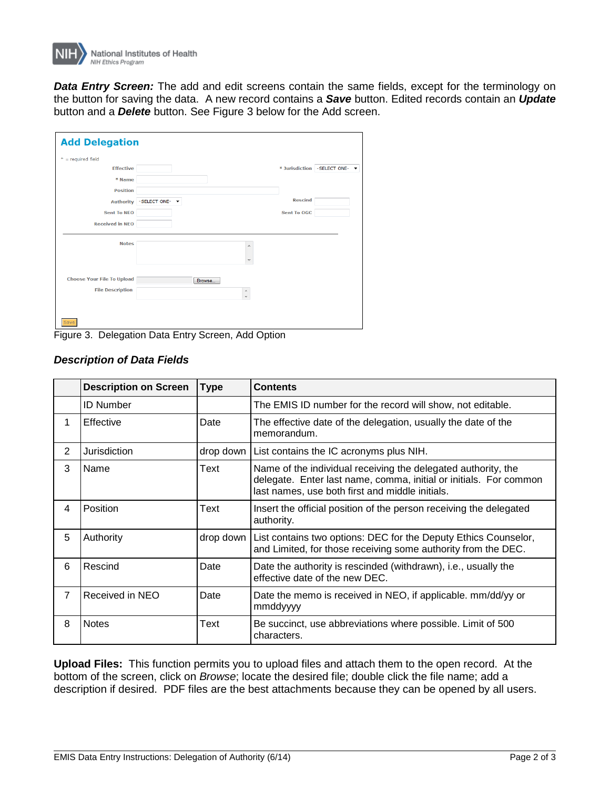

*Data Entry Screen:* The add and edit screens contain the same fields, except for the terminology on the button for saving the data. A new record contains a *Save* button. Edited records contain an *Update* button and a *Delete* button. See Figure 3 below for the Add screen.

| <b>Add Delegation</b>             |                                    |  |  |  |  |  |
|-----------------------------------|------------------------------------|--|--|--|--|--|
| $* = required field$              |                                    |  |  |  |  |  |
| <b>Effective</b>                  | * Jurisdiction - SELECT ONE-       |  |  |  |  |  |
| * Name                            |                                    |  |  |  |  |  |
| <b>Position</b>                   |                                    |  |  |  |  |  |
| <b>Authority</b>                  | <b>Rescind</b><br>-SELECT ONE-     |  |  |  |  |  |
| <b>Sent To NEO</b>                | Sent To OGC                        |  |  |  |  |  |
| <b>Received in NEO</b>            |                                    |  |  |  |  |  |
| <b>Notes</b>                      |                                    |  |  |  |  |  |
| <b>Choose Your File To Upload</b> | Browse                             |  |  |  |  |  |
| <b>File Description</b>           | $\blacktriangle$<br>$\overline{a}$ |  |  |  |  |  |
| Save                              |                                    |  |  |  |  |  |

Figure 3. Delegation Data Entry Screen, Add Option

|                | <b>Description on Screen</b> | <b>Type</b> | <b>Contents</b>                                                                                                                                                                       |
|----------------|------------------------------|-------------|---------------------------------------------------------------------------------------------------------------------------------------------------------------------------------------|
|                | <b>ID Number</b>             |             | The EMIS ID number for the record will show, not editable.                                                                                                                            |
| 1              | Effective                    | Date        | The effective date of the delegation, usually the date of the<br>memorandum.                                                                                                          |
| 2              | Jurisdiction                 |             | drop down   List contains the IC acronyms plus NIH.                                                                                                                                   |
| 3              | Name                         | Text        | Name of the individual receiving the delegated authority, the<br>delegate. Enter last name, comma, initial or initials. For common<br>last names, use both first and middle initials. |
| 4              | Position                     | Text        | Insert the official position of the person receiving the delegated<br>authority.                                                                                                      |
| 5              | Authority                    | drop down   | List contains two options: DEC for the Deputy Ethics Counselor,<br>and Limited, for those receiving some authority from the DEC.                                                      |
| 6              | Rescind                      | Date        | Date the authority is rescinded (withdrawn), i.e., usually the<br>effective date of the new DEC.                                                                                      |
| $\overline{7}$ | Received in NEO              | Date        | Date the memo is received in NEO, if applicable. mm/dd/yy or<br>mmddyyyy                                                                                                              |
| 8              | <b>Notes</b>                 | Text        | Be succinct, use abbreviations where possible. Limit of 500<br>characters.                                                                                                            |

## *Description of Data Fields*

**Upload Files:** This function permits you to upload files and attach them to the open record. At the bottom of the screen, click on *Browse*; locate the desired file; double click the file name; add a description if desired. PDF files are the best attachments because they can be opened by all users.